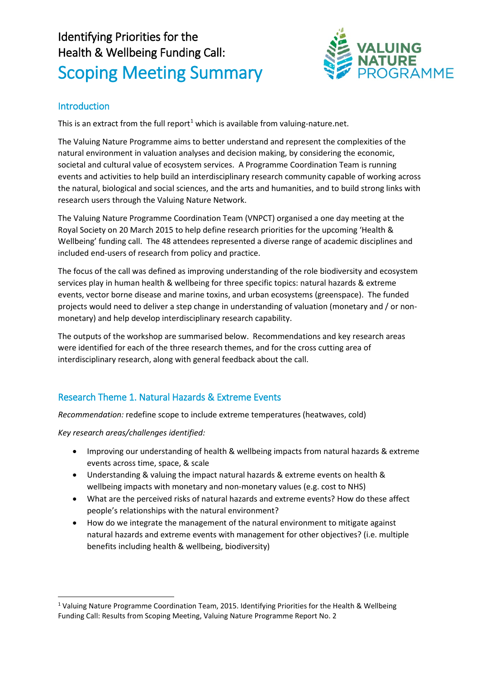# Identifying Priorities for the Health & Wellbeing Funding Call: Scoping Meeting Summary



# **Introduction**

This is an extract from the full report<sup>[1](#page-0-0)</sup> which is available from valuing-nature.net.

The Valuing Nature Programme aims to better understand and represent the complexities of the natural environment in valuation analyses and decision making, by considering the economic, societal and cultural value of ecosystem services. A Programme Coordination Team is running events and activities to help build an interdisciplinary research community capable of working across the natural, biological and social sciences, and the arts and humanities, and to build strong links with research users through the Valuing Nature Network.

The Valuing Nature Programme Coordination Team (VNPCT) organised a one day meeting at the Royal Society on 20 March 2015 to help define research priorities for the upcoming 'Health & Wellbeing' funding call. The 48 attendees represented a diverse range of academic disciplines and included end-users of research from policy and practice.

The focus of the call was defined as improving understanding of the role biodiversity and ecosystem services play in human health & wellbeing for three specific topics: natural hazards & extreme events, vector borne disease and marine toxins, and urban ecosystems (greenspace). The funded projects would need to deliver a step change in understanding of valuation (monetary and / or nonmonetary) and help develop interdisciplinary research capability.

The outputs of the workshop are summarised below. Recommendations and key research areas were identified for each of the three research themes, and for the cross cutting area of interdisciplinary research, along with general feedback about the call.

## Research Theme 1. Natural Hazards & Extreme Events

*Recommendation:* redefine scope to include extreme temperatures (heatwaves, cold)

*Key research areas/challenges identified:*

 $\overline{a}$ 

- Improving our understanding of health & wellbeing impacts from natural hazards & extreme events across time, space, & scale
- Understanding & valuing the impact natural hazards & extreme events on health & wellbeing impacts with monetary and non-monetary values (e.g. cost to NHS)
- What are the perceived risks of natural hazards and extreme events? How do these affect people's relationships with the natural environment?
- How do we integrate the management of the natural environment to mitigate against natural hazards and extreme events with management for other objectives? (i.e. multiple benefits including health & wellbeing, biodiversity)

<span id="page-0-0"></span> $1$  Valuing Nature Programme Coordination Team, 2015. Identifying Priorities for the Health & Wellbeing Funding Call: Results from Scoping Meeting, Valuing Nature Programme Report No. 2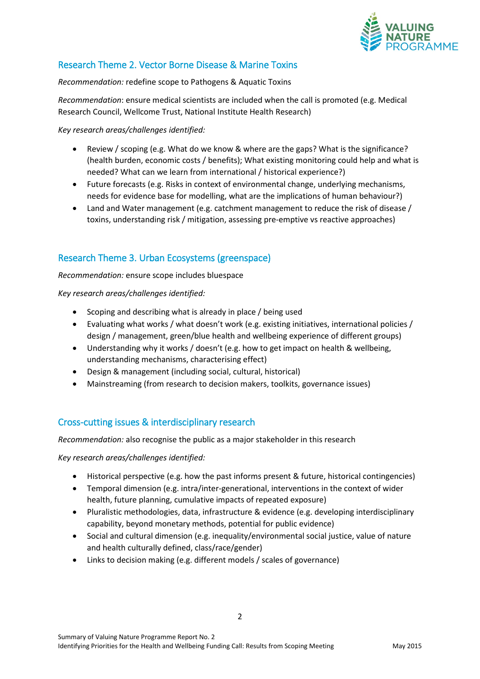

# Research Theme 2. Vector Borne Disease & Marine Toxins

*Recommendation:* redefine scope to Pathogens & Aquatic Toxins

*Recommendation*: ensure medical scientists are included when the call is promoted (e.g. Medical Research Council, Wellcome Trust, National Institute Health Research)

*Key research areas/challenges identified:*

- Review / scoping (e.g. What do we know & where are the gaps? What is the significance? (health burden, economic costs / benefits); What existing monitoring could help and what is needed? What can we learn from international / historical experience?)
- Future forecasts (e.g. Risks in context of environmental change, underlying mechanisms, needs for evidence base for modelling, what are the implications of human behaviour?)
- Land and Water management (e.g. catchment management to reduce the risk of disease / toxins, understanding risk / mitigation, assessing pre-emptive vs reactive approaches)

## Research Theme 3. Urban Ecosystems (greenspace)

*Recommendation:* ensure scope includes bluespace

*Key research areas/challenges identified:*

- Scoping and describing what is already in place / being used
- Evaluating what works / what doesn't work (e.g. existing initiatives, international policies / design / management, green/blue health and wellbeing experience of different groups)
- Understanding why it works / doesn't (e.g. how to get impact on health & wellbeing, understanding mechanisms, characterising effect)
- Design & management (including social, cultural, historical)
- Mainstreaming (from research to decision makers, toolkits, governance issues)

### Cross-cutting issues & interdisciplinary research

*Recommendation:* also recognise the public as a major stakeholder in this research

*Key research areas/challenges identified:*

- Historical perspective (e.g. how the past informs present & future, historical contingencies)
- Temporal dimension (e.g. intra/inter-generational, interventions in the context of wider health, future planning, cumulative impacts of repeated exposure)
- Pluralistic methodologies, data, infrastructure & evidence (e.g. developing interdisciplinary capability, beyond monetary methods, potential for public evidence)
- Social and cultural dimension (e.g. inequality/environmental social justice, value of nature and health culturally defined, class/race/gender)
- Links to decision making (e.g. different models / scales of governance)